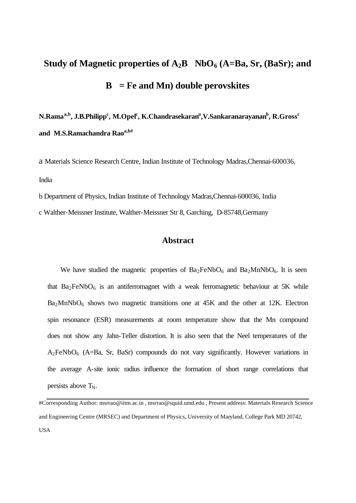# **Study of Magnetic properties of**  $A_2B$  **NbO<sub>6</sub> (A=Ba, Sr, (BaSr); and B= Fe and Mn) double perovskites**

**N.Ramaa,b, J.B.Philipp<sup>c</sup> , M.Opel<sup>c</sup> , K.Chandrasekaran<sup>a</sup> ,V.Sankaranarayanan<sup>b</sup> , R.Gross<sup>c</sup> and M.S.Ramachandra Raoa,b#**

a Materials Science Research Centre, Indian Institute of Technology Madras,Chennai-600036, India

b Department of Physics, Indian Institute of Technology Madras,Chennai-600036, India

c Walther-Meissner Institute, Walther-Meissner Str 8, Garching, D-85748,Germany

# **Abstract**

We have studied the magnetic properties of  $Ba_2FeNbO_6$  and  $Ba_2MnNbO_6$ . It is seen that  $Ba_2FeNbO_6$  is an antiferromagnet with a weak ferromagnetic behaviour at 5K while  $Ba<sub>2</sub>MnNbO<sub>6</sub>$  shows two magnetic transitions one at 45K and the other at 12K. Electron spin resonance (ESR) measurements at room temperature show that the Mn compound does not show any Jahn-Teller distortion. It is also seen that the Neel temperatures of the  $A_2$ FeNbO<sub>6</sub> (A=Ba, Sr, BaSr) compounds do not vary significantly. However variations in the average A-site ionic radius influence the formation of short range correlations that persists above  $T_N$ .

#Corresponding Author: msrrao@iitm.ac.in , msrrao@squid.umd.edu , Present address: Materials Research Science and Engineering Centre (MRSEC) and Department of Physics, University of Maryland, College Park MD 20742, USA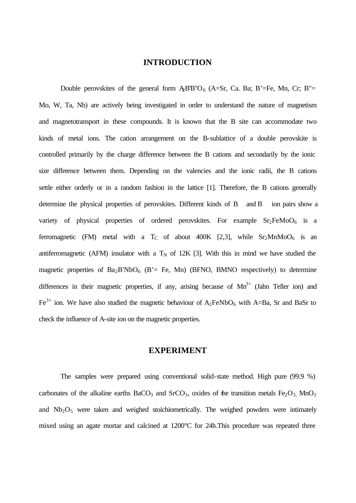## **INTRODUCTION**

Double perovskites of the general form  $\text{ABB}^{\prime\prime}O_6$  (A=Sr, Ca. Ba; B'=Fe, Mn, Cr; B"= Mo, W, Ta, Nb) are actively being investigated in order to understand the nature of magnetism and magnetotransport in these compounds. It is known that the B site can accommodate two kinds of metal ions. The cation arrangement on the B-sublattice of a double perovskite is controlled primarily by the charge difference between the B cations and secondarily by the ionic size difference between them. Depending on the valencies and the ionic radii, the B cations settle either orderly or in a random fashion in the lattice [1]. Therefore, the B cations generally determine the physical properties of perovskites. Different kinds of B and B ion pairs show a variety of physical properties of ordered perovskites. For example  $Sr<sub>2</sub>FeMoO<sub>6</sub>$  is a ferromagnetic (FM) metal with a T<sub>C</sub> of about 400K [2,3], while  $Sr<sub>2</sub>MnMoO<sub>6</sub>$  is an antiferromagnetic (AFM) insulator with a  $T_N$  of 12K [3]. With this in mind we have studied the magnetic properties of  $Ba<sub>2</sub>B'NbO<sub>6</sub>$  (B'= Fe, Mn) (BFNO, BMNO respectively) to determine differences in their magnetic properties, if any, arising because of  $Mn^{3+}$  (Jahn Teller ion) and  $Fe^{3+}$  ion. We have also studied the magnetic behaviour of  $A_2FeNbO_6$  with A=Ba, Sr and BaSr to check the influence of A-site ion on the magnetic properties.

### **EXPERIMENT**

The samples were prepared using conventional solid-state method. High pure (99.9 %) carbonates of the alkaline earths BaCO<sub>3</sub> and SrCO<sub>3</sub>, oxides of the transition metals Fe<sub>2</sub>O<sub>3</sub>, MnO<sub>2</sub> and  $Nb<sub>2</sub>O<sub>5</sub>$  were taken and weighed stoichiometrically. The weighed powders were intimately mixed using an agate mortar and calcined at 1200°C for 24h.This procedure was repeated three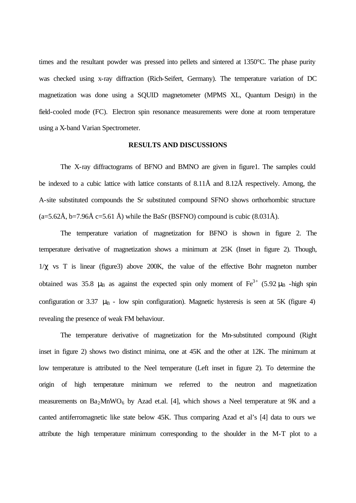times and the resultant powder was pressed into pellets and sintered at 1350°C. The phase purity was checked using x-ray diffraction (Rich-Seifert, Germany). The temperature variation of DC magnetization was done using a SQUID magnetometer (MPMS XL, Quantum Design) in the field-cooled mode (FC). Electron spin resonance measurements were done at room temperature using a X-band Varian Spectrometer.

#### **RESULTS AND DISCUSSIONS**

The X-ray diffractograms of BFNO and BMNO are given in figure1. The samples could be indexed to a cubic lattice with lattice constants of 8.11Å and 8.12Å respectively. Among, the A-site substituted compounds the Sr substituted compound SFNO shows orthorhombic structure  $(a=5.62\text{\AA}, b=7.96\text{\AA}, c=5.61\text{\AA})$  while the BaSr (BSFNO) compound is cubic (8.031 Å).

The temperature variation of magnetization for BFNO is shown in figure 2. The temperature derivative of magnetization shows a minimum at 25K (Inset in figure 2). Though,  $1/\gamma$  vs T is linear (figure3) above 200K, the value of the effective Bohr magneton number obtained was 35.8  $\mu$ B as against the expected spin only moment of Fe<sup>3+</sup> (5.92  $\mu$ B -high spin configuration or 3.37  $\mu$ B - low spin configuration). Magnetic hysteresis is seen at 5K (figure 4) revealing the presence of weak FM behaviour.

The temperature derivative of magnetization for the Mn-substituted compound (Right inset in figure 2) shows two distinct minima, one at 45K and the other at 12K. The minimum at low temperature is attributed to the Neel temperature (Left inset in figure 2). To determine the origin of high temperature minimum we referred to the neutron and magnetization measurements on  $Ba<sub>2</sub>MnWO<sub>6</sub>$  by Azad et.al. [4], which shows a Neel temperature at 9K and a canted antiferromagnetic like state below 45K. Thus comparing Azad et al's [4] data to ours we attribute the high temperature minimum corresponding to the shoulder in the M-T plot to a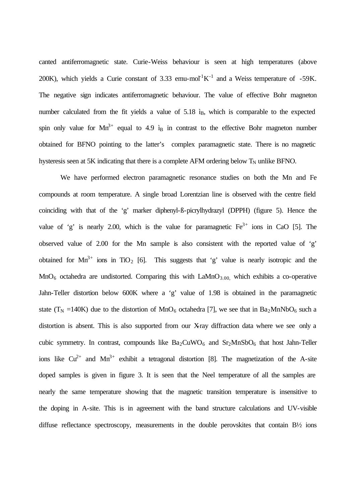canted antiferromagnetic state. Curie-Weiss behaviour is seen at high temperatures (above 200K), which yields a Curie constant of 3.33 emu-mol<sup>1</sup>K<sup>-1</sup> and a Weiss temperature of -59K. The negative sign indicates antiferromagnetic behaviour. The value of effective Bohr magneton number calculated from the fit yields a value of 5.18 i<sub>B</sub>, which is comparable to the expected spin only value for  $Mn^{3+}$  equal to 4.9  $i_B$  in contrast to the effective Bohr magneton number obtained for BFNO pointing to the latter's complex paramagnetic state. There is no magnetic hysteresis seen at 5K indicating that there is a complete AFM ordering below  $T_N$  unlike BFNO.

We have performed electron paramagnetic resonance studies on both the Mn and Fe compounds at room temperature. A single broad Lorentzian line is observed with the centre field coinciding with that of the 'g' marker diphenyl-ß-picrylhydrazyl (DPPH) (figure 5). Hence the value of 'g' is nearly 2.00, which is the value for paramagnetic  $Fe<sup>3+</sup>$  ions in CaO [5]. The observed value of 2.00 for the Mn sample is also consistent with the reported value of 'g' obtained for  $Mn^{3+}$  ions in TiO<sub>2</sub> [6]. This suggests that 'g' value is nearly isotropic and the  $MnO<sub>6</sub>$  octahedra are undistorted. Comparing this with  $LaMnO<sub>3.00</sub>$ , which exhibits a co-operative Jahn-Teller distortion below 600K where a 'g' value of 1.98 is obtained in the paramagnetic state (T<sub>N</sub> =140K) due to the distortion of MnO<sub>6</sub> octahedra [7], we see that in Ba<sub>2</sub>MnNbO<sub>6</sub> such a distortion is absent. This is also supported from our X-ray diffraction data where we see only a cubic symmetry. In contrast, compounds like  $Ba_2CuWO_6$  and  $Sr_2MnSbO_6$  that host Jahn-Teller ions like  $Cu^{2+}$  and  $Mn^{3+}$  exhibit a tetragonal distortion [8]. The magnetization of the A-site doped samples is given in figure 3. It is seen that the Neel temperature of all the samples are nearly the same temperature showing that the magnetic transition temperature is insensitive to the doping in A-site. This is in agreement with the band structure calculations and UV-visible diffuse reflectance spectroscopy, measurements in the double perovskites that contain B<sup>1</sup>/<sub>2</sub> ions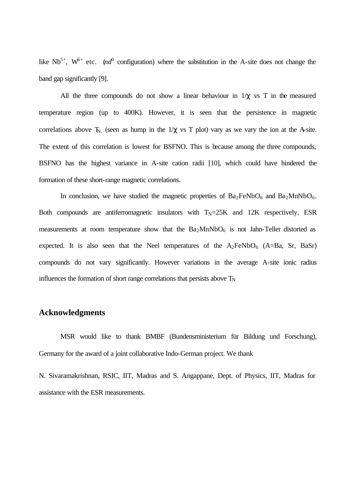like  $Nb^{5+}$ ,  $W^{6+}$  etc. (*nd*<sup>0</sup> configuration) where the substitution in the A-site does not change the band gap significantly [9].

All the three compounds do not show a linear behaviour in  $1/\chi$  vs T in the measured temperature region (up to 400K). However, it is seen that the persistence in magnetic correlations above  $T_{N}$ , (seen as hump in the  $1/\chi$  vs T plot) vary as we vary the ion at the A-site. The extent of this correlation is lowest for BSFNO. This is because among the three compounds, BSFNO has the highest variance in A-site cation radii [10], which could have hindered the formation of these short-range magnetic correlations.

In conclusion, we have studied the magnetic properties of  $Ba_2FeNbO_6$  and  $Ba_2MnNbO_6$ . Both compounds are antiferromagnetic insulators with  $T<sub>N</sub>=25K$  and 12K respectively. ESR measurements at room temperature show that the  $Ba<sub>2</sub>MnNbO<sub>6</sub>$  is not Jahn-Teller distorted as expected. It is also seen that the Neel temperatures of the  $A_2FeNbO_6$  (A=Ba, Sr, BaSr) compounds do not vary significantly. However variations in the average A-site ionic radius influences the formation of short range correlations that persists above  $T_N$ 

# **Acknowledgments**

MSR would like to thank BMBF (Bundensministerium für Bildung und Forschung), Germany for the award of a joint collaborative Indo-German project. We thank

N. Sivaramakrishnan, RSIC, IIT, Madras and S. Angappane, Dept. of Physics, IIT, Madras for assistance with the ESR measurements.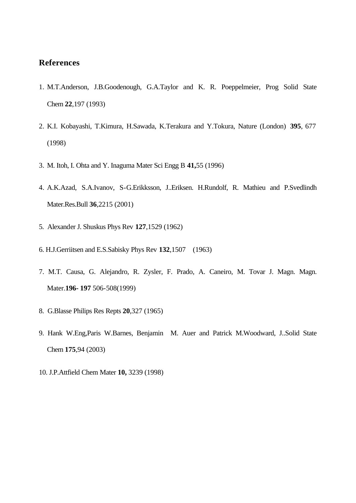# **References**

- 1. M.T.Anderson, J.B.Goodenough, G.A.Taylor and K. R. Poeppelmeier, Prog Solid State Chem **22**,197 (1993)
- 2. K.I. Kobayashi, T.Kimura, H.Sawada, K.Terakura and Y.Tokura, Nature (London) **395**, 677 (1998)
- 3. M. Itoh, I. Ohta and Y. Inaguma Mater Sci Engg B **41,**55 (1996)
- 4. A.K.Azad, S.A.Ivanov, S-G.Erikksson, J..Eriksen. H.Rundolf, R. Mathieu and P.Svedlindh Mater.Res.Bull **36**,2215 (2001)
- 5. Alexander J. Shuskus Phys Rev **127**,1529 (1962)
- 6. H.J.Gerriitsen and E.S.Sabisky Phys Rev **132**,1507 (1963)
- 7. M.T. Causa, G. Alejandro, R. Zysler, F. Prado, A. Caneiro, M. Tovar J. Magn. Magn. Mater.**196- 197** 506-508(1999)
- 8. G.Blasse Philips Res Repts **20**,327 (1965)
- 9. Hank W.Eng,Paris W.Barnes, Benjamin M. Auer and Patrick M.Woodward, J..Solid State Chem **175**,94 (2003)
- 10. J.P.Attfield Chem Mater **10,** 3239 (1998)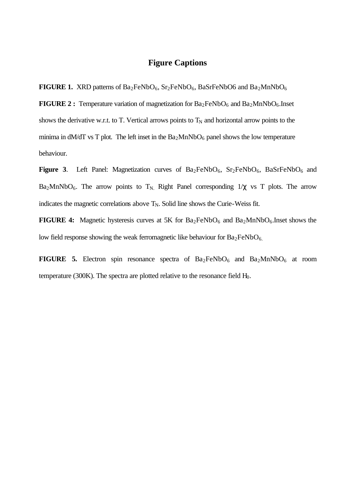# **Figure Captions**

**FIGURE 1.** XRD patterns of Ba<sub>2</sub>FeNbO<sub>6</sub>, Sr<sub>2</sub>FeNbO<sub>6</sub>, BaSrFeNbO6 and Ba<sub>2</sub>MnNbO<sub>6</sub>

**FIGURE 2 :** Temperature variation of magnetization for  $Ba_2FeNbO_6$  and  $Ba_2MnNbO_6$ . Inset shows the derivative w.r.t. to T. Vertical arrows points to  $T_N$  and horizontal arrow points to the minima in dM/dT vs T plot. The left inset in the  $Ba<sub>2</sub>MnNbO<sub>6</sub>$  panel shows the low temperature behaviour.

**Figure 3.** Left Panel: Magnetization curves of  $Ba_2FeNbO_6$ ,  $Sr_2FeNbO_6$ ,  $BaSrFeNbO_6$  and Ba<sub>2</sub>MnNbO<sub>6</sub>. The arrow points to T<sub>N</sub>. Right Panel corresponding  $1/\chi$  vs T plots. The arrow indicates the magnetic correlations above  $T_N$ . Solid line shows the Curie-Weiss fit.

**FIGURE 4:** Magnetic hysteresis curves at 5K for Ba<sub>2</sub>FeNbO<sub>6</sub> and Ba<sub>2</sub>MnNbO<sub>6</sub>.Inset shows the low field response showing the weak ferromagnetic like behaviour for  $Ba<sub>2</sub>FeNbO<sub>6</sub>$ .

**FIGURE 5.** Electron spin resonance spectra of  $Ba_2FeNbO_6$  and  $Ba_2MnNbO_6$  at room temperature (300K). The spectra are plotted relative to the resonance field  $H<sub>0</sub>$ .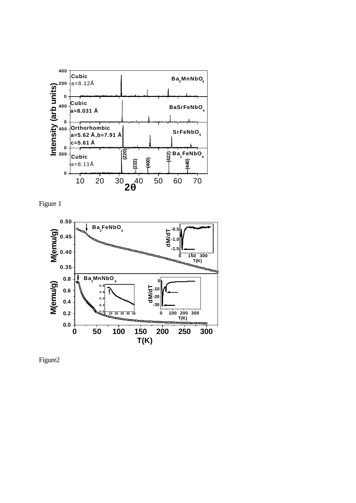





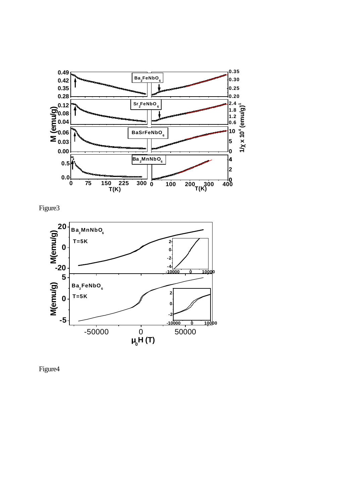





Figure4